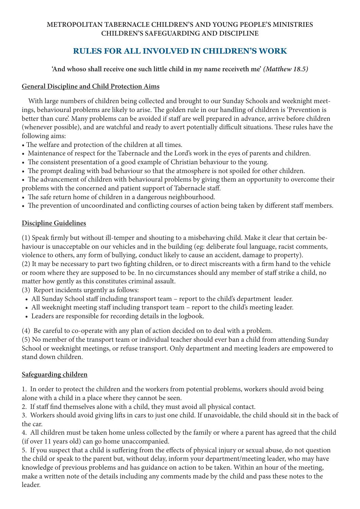#### **METROPOLITAN TABERNACLE CHILDREN'S AND YOUNG PEOPLE'S MINISTRIES CHILDREN'S SAFEGUARDING AND DISCIPLINE**

# **RULES FOR ALL INVOLVED IN CHILDREN'S WORK**

**'And whoso shall receive one such little child in my name receiveth me'** *(Matthew 18.5)*

### **General Discipline and Child Protection Aims**

With large numbers of children being collected and brought to our Sunday Schools and weeknight meetings, behavioural problems are likely to arise. The golden rule in our handling of children is 'Prevention is better than cure'. Many problems can be avoided if staff are well prepared in advance, arrive before children (whenever possible), and are watchful and ready to avert potentially difficult situations. These rules have the following aims:

- The welfare and protection of the children at all times.
- Maintenance of respect for the Tabernacle and the Lord's work in the eyes of parents and children.
- The consistent presentation of a good example of Christian behaviour to the young.
- The prompt dealing with bad behaviour so that the atmosphere is not spoiled for other children.

• The advancement of children with behavioural problems by giving them an opportunity to overcome their problems with the concerned and patient support of Tabernacle staff.

- The safe return home of children in a dangerous neighbourhood.
- The prevention of uncoordinated and conflicting courses of action being taken by different staff members.

# **Discipline Guidelines**

(1) Speak firmly but without ill-temper and shouting to a misbehaving child. Make it clear that certain behaviour is unacceptable on our vehicles and in the building (eg: deliberate foul language, racist comments, violence to others, any form of bullying, conduct likely to cause an accident, damage to property). (2) It may be necessary to part two fighting children, or to direct miscreants with a firm hand to the vehicle or room where they are supposed to be. In no circumstances should any member of staff strike a child, no matter how gently as this constitutes criminal assault.

(3) Report incidents urgently as follows:

- All Sunday School staff including transport team report to the child's department leader.
- All weeknight meeting staff including transport team report to the child's meeting leader.
- Leaders are responsible for recording details in the logbook.

(4) Be careful to co-operate with any plan of action decided on to deal with a problem.

(5) No member of the transport team or individual teacher should ever ban a child from attending Sunday School or weeknight meetings, or refuse transport. Only department and meeting leaders are empowered to stand down children.

# **Safeguarding children**

1. In order to protect the children and the workers from potential problems, workers should avoid being alone with a child in a place where they cannot be seen.

2. If staff find themselves alone with a child, they must avoid all physical contact.

3. Workers should avoid giving lifts in cars to just one child. If unavoidable, the child should sit in the back of the car.

4. All children must be taken home unless collected by the family or where a parent has agreed that the child (if over 11 years old) can go home unaccompanied.

5. If you suspect that a child is suffering from the effects of physical injury or sexual abuse, do not question the child or speak to the parent but, without delay, inform your department/meeting leader, who may have knowledge of previous problems and has guidance on action to be taken. Within an hour of the meeting, make a written note of the details including any comments made by the child and pass these notes to the leader.